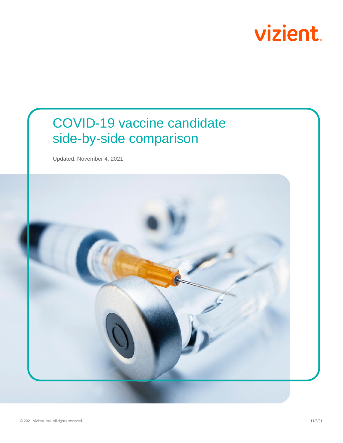

## COVID-19 vaccine candidate side-by-side comparison

Updated: November 4, 2021

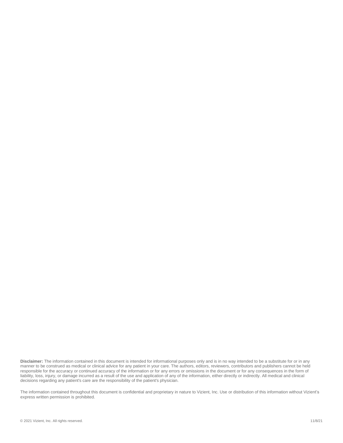**Disclaimer:** The information contained in this document is intended for informational purposes only and is in no way intended to be a substitute for or in any manner to be construed as medical or clinical advice for any patient in your care. The authors, editors, reviewers, contributors and publishers cannot be held responsible for the accuracy or continued accuracy of the information or for any errors or omissions in the document or for any consequences in the form of liability, loss, injury, or damage incurred as a result of the use and application of any of the information, either directly or indirectly. All medical and clinical decisions regarding any patient's care are the responsibility of the patient's physician.

The information contained throughout this document is confidential and proprietary in nature to Vizient, Inc. Use or distribution of this information without Vizient's express written permission is prohibited.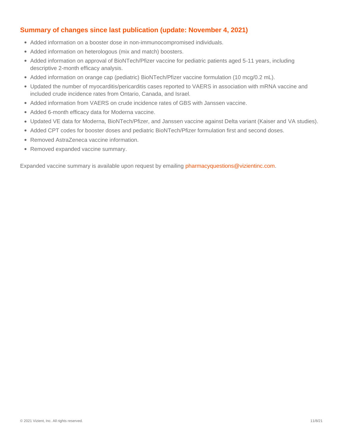## **Summary of changes since last publication (update: November 4, 2021)**

- Added information on a booster dose in non-immunocompromised individuals.
- Added information on heterologous (mix and match) boosters.
- Added information on approval of BioNTech/Pfizer vaccine for pediatric patients aged 5-11 years, including descriptive 2-month efficacy analysis.
- Added information on orange cap (pediatric) BioNTech/Pfizer vaccine formulation (10 mcg/0.2 mL).
- Updated the number of myocarditis/pericarditis cases reported to VAERS in association with mRNA vaccine and included crude incidence rates from Ontario, Canada, and Israel.
- Added information from VAERS on crude incidence rates of GBS with Janssen vaccine.
- Added 6-month efficacy data for Moderna vaccine.
- Updated VE data for Moderna, BioNTech/Pfizer, and Janssen vaccine against Delta variant (Kaiser and VA studies).
- Added CPT codes for booster doses and pediatric BioNTech/Pfizer formulation first and second doses.
- Removed AstraZeneca vaccine information.
- Removed expanded vaccine summary.

Expanded vaccine summary is available upon request by emailing [pharmacyquestions@vizientinc.com.](file:///C:/Users/NHESSER/AppData/Local/Microsoft/Windows/INetCache/Content.Outlook/E9KMH95J/pharmacyquestions@vizientinc.com)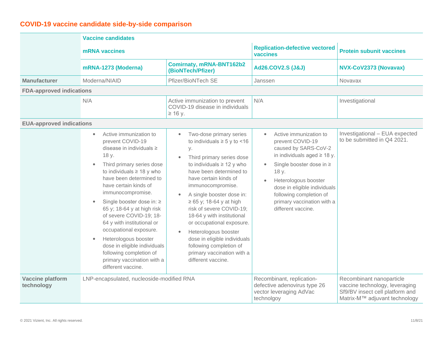## **COVID-19 vaccine candidate side-by-side comparison**

|                                       | <b>Vaccine candidates</b>                                                                                                                                                                                                                                                                                                                                                                                                                                                                                                              |                                                                                                                                                                                                                                                                                                                                                                                                                                                                                                                   |                                                                                                                                                                                                                                                                                                 |                                                                                                                                |  |
|---------------------------------------|----------------------------------------------------------------------------------------------------------------------------------------------------------------------------------------------------------------------------------------------------------------------------------------------------------------------------------------------------------------------------------------------------------------------------------------------------------------------------------------------------------------------------------------|-------------------------------------------------------------------------------------------------------------------------------------------------------------------------------------------------------------------------------------------------------------------------------------------------------------------------------------------------------------------------------------------------------------------------------------------------------------------------------------------------------------------|-------------------------------------------------------------------------------------------------------------------------------------------------------------------------------------------------------------------------------------------------------------------------------------------------|--------------------------------------------------------------------------------------------------------------------------------|--|
|                                       | <b>mRNA</b> vaccines                                                                                                                                                                                                                                                                                                                                                                                                                                                                                                                   |                                                                                                                                                                                                                                                                                                                                                                                                                                                                                                                   | <b>Replication-defective vectored</b><br>vaccines                                                                                                                                                                                                                                               | <b>Protein subunit vaccines</b>                                                                                                |  |
|                                       | mRNA-1273 (Moderna)                                                                                                                                                                                                                                                                                                                                                                                                                                                                                                                    | <b>Comirnaty, mRNA-BNT162b2</b><br>(BioNTech/Pfizer)                                                                                                                                                                                                                                                                                                                                                                                                                                                              | <b>Ad26.COV2.S (J&amp;J)</b>                                                                                                                                                                                                                                                                    | NVX-CoV2373 (Novavax)                                                                                                          |  |
| <b>Manufacturer</b>                   | Moderna/NIAID                                                                                                                                                                                                                                                                                                                                                                                                                                                                                                                          | Pfizer/BioNTech SE                                                                                                                                                                                                                                                                                                                                                                                                                                                                                                | Janssen                                                                                                                                                                                                                                                                                         | <b>Novavax</b>                                                                                                                 |  |
| <b>FDA-approved indications</b>       |                                                                                                                                                                                                                                                                                                                                                                                                                                                                                                                                        |                                                                                                                                                                                                                                                                                                                                                                                                                                                                                                                   |                                                                                                                                                                                                                                                                                                 |                                                                                                                                |  |
|                                       | N/A                                                                                                                                                                                                                                                                                                                                                                                                                                                                                                                                    | Active immunization to prevent<br>COVID-19 disease in individuals<br>$\geq$ 16 y.                                                                                                                                                                                                                                                                                                                                                                                                                                 | N/A                                                                                                                                                                                                                                                                                             | Investigational                                                                                                                |  |
| <b>EUA-approved indications</b>       |                                                                                                                                                                                                                                                                                                                                                                                                                                                                                                                                        |                                                                                                                                                                                                                                                                                                                                                                                                                                                                                                                   |                                                                                                                                                                                                                                                                                                 |                                                                                                                                |  |
|                                       | Active immunization to<br>$\bullet$<br>prevent COVID-19<br>disease in individuals ≥<br>18 y.<br>Third primary series dose<br>to individuals $\geq 18$ y who<br>have been determined to<br>have certain kinds of<br>immunocompromise.<br>Single booster dose in: ≥<br>$\bullet$<br>65 y; 18-64 y at high risk<br>of severe COVID-19; 18-<br>64 y with institutional or<br>occupational exposure.<br>Heterologous booster<br>dose in eligible individuals<br>following completion of<br>primary vaccination with a<br>different vaccine. | Two-dose primary series<br>$\bullet$<br>to individuals $\geq 5$ y to <16<br>у.<br>Third primary series dose<br>to individuals $\geq 12$ y who<br>have been determined to<br>have certain kinds of<br>immunocompromise.<br>A single booster dose in:<br>$\geq 65$ y; 18-64 y at high<br>risk of severe COVID-19;<br>18-64 y with institutional<br>or occupational exposure.<br>Heterologous booster<br>dose in eligible individuals<br>following completion of<br>primary vaccination with a<br>different vaccine. | Active immunization to<br>$\bullet$<br>prevent COVID-19<br>caused by SARS-CoV-2<br>in individuals aged $\geq$ 18 y.<br>Single booster dose in ≥<br>18 y.<br>Heterologous booster<br>dose in eligible individuals<br>following completion of<br>primary vaccination with a<br>different vaccine. | Investigational - EUA expected<br>to be submitted in Q4 2021.                                                                  |  |
| <b>Vaccine platform</b><br>technology | LNP-encapsulated, nucleoside-modified RNA                                                                                                                                                                                                                                                                                                                                                                                                                                                                                              |                                                                                                                                                                                                                                                                                                                                                                                                                                                                                                                   | Recombinant, replication-<br>defective adenovirus type 26<br>vector leveraging AdVac<br>technolgoy                                                                                                                                                                                              | Recombinant nanoparticle<br>vaccine technology, leveraging<br>Sf9/BV insect cell platform and<br>Matrix-M™ adjuvant technology |  |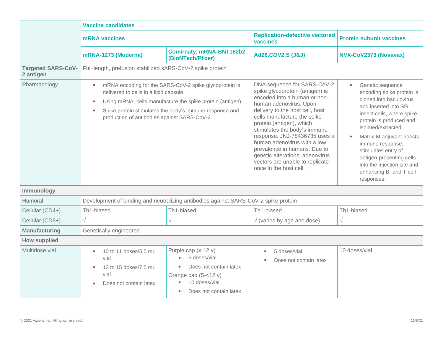|                                        | <b>Vaccine candidates</b>                                                                                                                                                                                                                                                                           |                                                                                                                                                                                |                                                                                                                                                                                                                                                                                                                                                                                                                                                        |                                                                                                                                                                                                                                                                                                                                                             |  |
|----------------------------------------|-----------------------------------------------------------------------------------------------------------------------------------------------------------------------------------------------------------------------------------------------------------------------------------------------------|--------------------------------------------------------------------------------------------------------------------------------------------------------------------------------|--------------------------------------------------------------------------------------------------------------------------------------------------------------------------------------------------------------------------------------------------------------------------------------------------------------------------------------------------------------------------------------------------------------------------------------------------------|-------------------------------------------------------------------------------------------------------------------------------------------------------------------------------------------------------------------------------------------------------------------------------------------------------------------------------------------------------------|--|
|                                        | mRNA vaccines                                                                                                                                                                                                                                                                                       |                                                                                                                                                                                | <b>Replication-defective vectored</b><br>vaccines                                                                                                                                                                                                                                                                                                                                                                                                      | <b>Protein subunit vaccines</b>                                                                                                                                                                                                                                                                                                                             |  |
|                                        | mRNA-1273 (Moderna)                                                                                                                                                                                                                                                                                 | Comirnaty, mRNA-BNT162b2<br>(BioNTech/Pfizer)                                                                                                                                  | <b>Ad26.COV2.S (J&amp;J)</b>                                                                                                                                                                                                                                                                                                                                                                                                                           | NVX-CoV2373 (Novavax)                                                                                                                                                                                                                                                                                                                                       |  |
| <b>Targeted SARS-CoV-</b><br>2 antigen | Full-length, prefusion stabilized sARS-CoV-2 spike protein                                                                                                                                                                                                                                          |                                                                                                                                                                                |                                                                                                                                                                                                                                                                                                                                                                                                                                                        |                                                                                                                                                                                                                                                                                                                                                             |  |
| Pharmacology                           | mRNA encoding for the SARS-CoV-2 spike glycoprotein is<br>delivered to cells in a lipid capsule.<br>Using mRNA, cells manufacture the spike protein (antigen).<br>$\bullet$<br>Spike protein stimulates the body's immune response and<br>$\bullet$<br>production of antibodies against SARS-CoV-2. |                                                                                                                                                                                | DNA sequence for SARS-CoV-2<br>spike glycoprotein (antigen) is<br>encoded into a human or non-<br>human adenovirus. Upon<br>delivery to the host cell, host<br>cells manufacture the spike<br>protein (antigen), which<br>stimulates the body's immune<br>response. JNJ-78436735 uses a<br>human adenovirus with a low<br>prevalence in humans. Due to<br>genetic alterations, adenovirus<br>vectors are unable to replicate<br>once in the host cell. | Genetic sequence<br>encoding spike protein is<br>cloned into baculovirus<br>and inserted into Sf9<br>insect cells, where spike<br>protein is produced and<br>isolated/extracted.<br>Matrix-M adjuvant boosts<br>immune response;<br>stimulates entry of<br>antigen-presenting cells<br>into the injection site and<br>enhancing B- and T-cell<br>responses. |  |
| Immunology                             |                                                                                                                                                                                                                                                                                                     |                                                                                                                                                                                |                                                                                                                                                                                                                                                                                                                                                                                                                                                        |                                                                                                                                                                                                                                                                                                                                                             |  |
| Humoral                                |                                                                                                                                                                                                                                                                                                     | Development of binding and neutralizing antibodies against SARS-CoV-2 spike protein                                                                                            |                                                                                                                                                                                                                                                                                                                                                                                                                                                        |                                                                                                                                                                                                                                                                                                                                                             |  |
| Cellular (CD4+)                        | Th1-biased                                                                                                                                                                                                                                                                                          | Th1-biased                                                                                                                                                                     | Th1-biased                                                                                                                                                                                                                                                                                                                                                                                                                                             | Th1-biased                                                                                                                                                                                                                                                                                                                                                  |  |
| Cellular (CD8+)                        | $\sqrt{}$                                                                                                                                                                                                                                                                                           |                                                                                                                                                                                | $\sqrt{}$ (varies by age and dose)                                                                                                                                                                                                                                                                                                                                                                                                                     | $\sqrt{}$                                                                                                                                                                                                                                                                                                                                                   |  |
| <b>Manufacturing</b>                   | Genetically engineered                                                                                                                                                                                                                                                                              |                                                                                                                                                                                |                                                                                                                                                                                                                                                                                                                                                                                                                                                        |                                                                                                                                                                                                                                                                                                                                                             |  |
| <b>How supplied</b>                    |                                                                                                                                                                                                                                                                                                     |                                                                                                                                                                                |                                                                                                                                                                                                                                                                                                                                                                                                                                                        |                                                                                                                                                                                                                                                                                                                                                             |  |
| Multidose vial                         | 10 to 11 doses/5.5 mL<br>vial<br>13 to 15 doses/7.5 mL<br>vial<br>Does not contain latex                                                                                                                                                                                                            | Purple cap $(≥ 12 y)$<br>6 doses/vial<br>Does not contain latex<br>$\bullet$<br>Orange cap $(5 - < 12 y)$<br>10 doses/vial<br>$\bullet$<br>Does not contain latex<br>$\bullet$ | 5 doses/vial<br>$\bullet$<br>Does not contain latex<br>$\bullet$                                                                                                                                                                                                                                                                                                                                                                                       | 10 doses/vial                                                                                                                                                                                                                                                                                                                                               |  |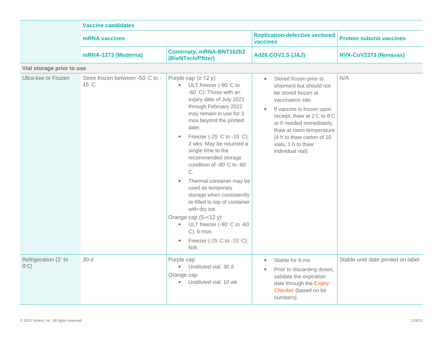|                                        | <b>Vaccine candidates</b>                       |                                                                                                                                                                                                                                                                                                                                                                                                                                                                                                                                                                                                                                                          |                                                                                                                                                                                                                                                                                                                      |                                    |  |
|----------------------------------------|-------------------------------------------------|----------------------------------------------------------------------------------------------------------------------------------------------------------------------------------------------------------------------------------------------------------------------------------------------------------------------------------------------------------------------------------------------------------------------------------------------------------------------------------------------------------------------------------------------------------------------------------------------------------------------------------------------------------|----------------------------------------------------------------------------------------------------------------------------------------------------------------------------------------------------------------------------------------------------------------------------------------------------------------------|------------------------------------|--|
|                                        | mRNA vaccines                                   |                                                                                                                                                                                                                                                                                                                                                                                                                                                                                                                                                                                                                                                          | <b>Replication-defective vectored</b><br>vaccines                                                                                                                                                                                                                                                                    | <b>Protein subunit vaccines</b>    |  |
|                                        | mRNA-1273 (Moderna)                             | <b>Comirnaty, mRNA-BNT162b2</b><br>(BioNTech/Pfizer)                                                                                                                                                                                                                                                                                                                                                                                                                                                                                                                                                                                                     | <b>Ad26.COV2.S (J&amp;J)</b>                                                                                                                                                                                                                                                                                         | NVX-CoV2373 (Novavax)              |  |
| Vial storage prior to use              |                                                 |                                                                                                                                                                                                                                                                                                                                                                                                                                                                                                                                                                                                                                                          |                                                                                                                                                                                                                                                                                                                      |                                    |  |
| Ultra-low or Frozen                    | Store frozen between -50°C to -<br>$15^\circ$ C | Purple cap $(2 12 y)$<br>ULT freezer (-90° C to<br>$\bullet$<br>-60° C): Those with an<br>expiry date of July 2021<br>through February 2022<br>may remain in use for 3<br>mos beyond the printed<br>date.<br>Freezer (-25° C to -15° C):<br>$\bullet$<br>2 wks. May be returned a<br>single time to the<br>recommended storage<br>condition of -90°C to -60°<br>C.<br>Thermal container may be<br>$\bullet$<br>used as temporary<br>storage when consistently<br>re-filled to top of container<br>with dry ice.<br>Orange cap $(5 - < 12 y)$<br>ULT freezer (-90° C to -60°<br>$\bullet$<br>$C$ : 6 mos<br>Freezer (-25°C to -15°C):<br>$\bullet$<br>N/A | Stored frozen prior to<br>$\bullet$<br>shipment but should not<br>be stored frozen at<br>vaccination site.<br>If vaccine is frozen upon<br>$\bullet$<br>receipt, thaw at 2°C to 8°C<br>or if needed immediately,<br>thaw at room temperature<br>(4 h to thaw carton of 10<br>vials, 1 h to thaw<br>individual vial). | N/A                                |  |
| Refrigeration (2° to<br>$8^{\circ}$ C) | 30 d                                            | Purple cap<br>Undiluted vial: 30 d<br>$\bullet$<br>Orange cap<br>Undiluted vial: 10 wk<br>$\bullet$                                                                                                                                                                                                                                                                                                                                                                                                                                                                                                                                                      | Stable for 6 mo<br>$\bullet$<br>Prior to discarding doses,<br>$\bullet$<br>validate the expiration<br>date through the Expiry<br>Checker (based on lot<br>numbers).                                                                                                                                                  | Stable until date printed on label |  |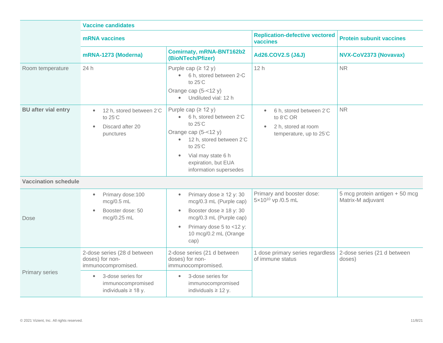|                             | <b>Vaccine candidates</b>                                                                                                   |                                                                                                                                                                                                                               |                                                                                                                  |                                                     |  |
|-----------------------------|-----------------------------------------------------------------------------------------------------------------------------|-------------------------------------------------------------------------------------------------------------------------------------------------------------------------------------------------------------------------------|------------------------------------------------------------------------------------------------------------------|-----------------------------------------------------|--|
|                             | mRNA vaccines                                                                                                               |                                                                                                                                                                                                                               | <b>Replication-defective vectored</b><br>vaccines                                                                | <b>Protein subunit vaccines</b>                     |  |
|                             | mRNA-1273 (Moderna)                                                                                                         | <b>Comirnaty, mRNA-BNT162b2</b><br>(BioNTech/Pfizer)                                                                                                                                                                          | <b>Ad26.COV2.S (J&amp;J)</b>                                                                                     | NVX-CoV2373 (Novavax)                               |  |
| Room temperature            | 24 h                                                                                                                        | Purple cap $(≥ 12 y)$<br>6 h, stored between 2 °C<br>$\bullet$<br>to 25°C<br>Orange cap $(5 - < 12 y)$<br>Undiluted vial: 12 h<br>$\bullet$                                                                                   | 12h                                                                                                              | <b>NR</b>                                           |  |
| <b>BU</b> after vial entry  | 12 h, stored between 2°C<br>$\bullet$<br>to 25°C<br>Discard after 20<br>$\bullet$<br>punctures                              | Purple cap $(≥ 12 y)$<br>• 6 h, stored between 2°C<br>to 25°C<br>Orange cap (5-<12 y)<br>12 h, stored between 2°C<br>$\bullet$<br>to 25°C<br>Vial may state 6 h<br>$\bullet$<br>expiration, but EUA<br>information supersedes | 6 h, stored between 2°C<br>$\bullet$<br>to 8°C OR<br>2 h, stored at room<br>$\bullet$<br>temperature, up to 25°C | <b>NR</b>                                           |  |
| <b>Vaccination schedule</b> |                                                                                                                             |                                                                                                                                                                                                                               |                                                                                                                  |                                                     |  |
| Dose                        | Primary dose:100<br>$\bullet$<br>mcg/0.5 mL<br>Booster dose: 50<br>mcg/0.25 mL                                              | Primary dose $\geq$ 12 y: 30<br>$\bullet$<br>mcg/0.3 mL (Purple cap)<br>Booster dose $\geq$ 18 y: 30<br>$\bullet$<br>mcg/0.3 mL (Purple cap)<br>Primary dose 5 to <12 y:<br>$\bullet$<br>10 mcg/0.2 mL (Orange<br>cap)        | Primary and booster dose:<br>5×10 <sup>10</sup> vp /0.5 mL                                                       | 5 mcg protein antigen + 50 mcg<br>Matrix-M adjuvant |  |
| <b>Primary series</b>       | 2-dose series (28 d between<br>doses) for non-<br>immunocompromised.<br>3-dose series for<br>$\bullet$<br>immunocompromised | 2-dose series (21 d between<br>doses) for non-<br>immunocompromised.<br>3-dose series for<br>$\bullet$<br>immunocompromised                                                                                                   | 1 dose primary series regardless<br>of immune status                                                             | 2-dose series (21 d between<br>doses)               |  |
|                             | individuals $\geq$ 18 y.                                                                                                    | individuals $\geq$ 12 y.                                                                                                                                                                                                      |                                                                                                                  |                                                     |  |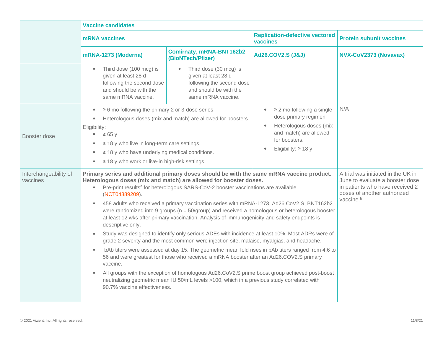|                                   | <b>Vaccine candidates</b>                                                                                                                                                                                                                                                                                              |                                                                                                                                                                                                                                                                                                                                                                                                                                                                                                                                                                                                                                                                                                                                                                                                                                                                                                                                                                                                                                                                                                                                                                                                        |                                                                                                                                                                        |                                                                                                                                                                  |
|-----------------------------------|------------------------------------------------------------------------------------------------------------------------------------------------------------------------------------------------------------------------------------------------------------------------------------------------------------------------|--------------------------------------------------------------------------------------------------------------------------------------------------------------------------------------------------------------------------------------------------------------------------------------------------------------------------------------------------------------------------------------------------------------------------------------------------------------------------------------------------------------------------------------------------------------------------------------------------------------------------------------------------------------------------------------------------------------------------------------------------------------------------------------------------------------------------------------------------------------------------------------------------------------------------------------------------------------------------------------------------------------------------------------------------------------------------------------------------------------------------------------------------------------------------------------------------------|------------------------------------------------------------------------------------------------------------------------------------------------------------------------|------------------------------------------------------------------------------------------------------------------------------------------------------------------|
|                                   | <b>mRNA</b> vaccines                                                                                                                                                                                                                                                                                                   | <b>Replication-defective vectored</b><br>vaccines                                                                                                                                                                                                                                                                                                                                                                                                                                                                                                                                                                                                                                                                                                                                                                                                                                                                                                                                                                                                                                                                                                                                                      |                                                                                                                                                                        | <b>Protein subunit vaccines</b>                                                                                                                                  |
|                                   | <b>Comirnaty, mRNA-BNT162b2</b><br>mRNA-1273 (Moderna)<br>(BioNTech/Pfizer)                                                                                                                                                                                                                                            |                                                                                                                                                                                                                                                                                                                                                                                                                                                                                                                                                                                                                                                                                                                                                                                                                                                                                                                                                                                                                                                                                                                                                                                                        | <b>Ad26.COV2.S (J&amp;J)</b>                                                                                                                                           | NVX-CoV2373 (Novavax)                                                                                                                                            |
|                                   | Third dose (100 mcg) is<br>given at least 28 d<br>following the second dose<br>and should be with the<br>same mRNA vaccine.                                                                                                                                                                                            | Third dose (30 mcg) is<br>given at least 28 d<br>following the second dose<br>and should be with the<br>same mRNA vaccine.                                                                                                                                                                                                                                                                                                                                                                                                                                                                                                                                                                                                                                                                                                                                                                                                                                                                                                                                                                                                                                                                             |                                                                                                                                                                        |                                                                                                                                                                  |
| Booster dose                      | $\geq 6$ mo following the primary 2 or 3-dose series<br>$\bullet$<br>$\bullet$<br>Eligibility:<br>$\geq 65$ y<br>$\bullet$<br>$\geq$ 18 y who live in long-term care settings.<br>$\bullet$<br>$\geq$ 18 y who have underlying medical conditions.<br>$\bullet$<br>$\geq$ 18 y who work or live-in high-risk settings. | Heterologous doses (mix and match) are allowed for boosters.                                                                                                                                                                                                                                                                                                                                                                                                                                                                                                                                                                                                                                                                                                                                                                                                                                                                                                                                                                                                                                                                                                                                           | $\geq$ 2 mo following a single-<br>$\bullet$<br>dose primary regimen<br>Heterologous doses (mix<br>and match) are allowed<br>for boosters.<br>Eligibility: $\geq$ 18 y | N/A                                                                                                                                                              |
| Interchangeability of<br>vaccines | $\bullet$<br>(NCT04889209).<br>$\bullet$<br>descriptive only.<br>$\bullet$<br>$\bullet$<br>vaccine.                                                                                                                                                                                                                    | Primary series and additional primary doses should be with the same mRNA vaccine product.<br>Heterologous doses (mix and match) are allowed for booster doses.<br>Pre-print results <sup>a</sup> for heterologous SARS-CoV-2 booster vaccinations are available<br>458 adults who received a primary vaccination series with mRNA-1273, Ad26.CoV2.S, BNT162b2<br>were randomized into 9 groups ( $n = 50$ /group) and received a homologous or heterologous booster<br>at least 12 wks after primary vaccination. Analysis of immunogenicity and safety endpoints is<br>Study was designed to identify only serious ADEs with incidence at least 10%. Most ADRs were of<br>grade 2 severity and the most common were injection site, malaise, myalgias, and headache.<br>bAb titers were assessed at day 15. The geometric mean fold rises in bAb titers ranged from 4.6 to<br>56 and were greatest for those who received a mRNA booster after an Ad26.COV2.S primary<br>All groups with the exception of homologous Ad26.CoV2.S prime boost group achieved post-boost<br>neutralizing geometric mean IU 50/mL levels >100, which in a previous study correlated with<br>90.7% vaccine effectiveness. |                                                                                                                                                                        | A trial was initiated in the UK in<br>June to evaluate a booster dose<br>in patients who have received 2<br>doses of another authorized<br>vaccine. <sup>b</sup> |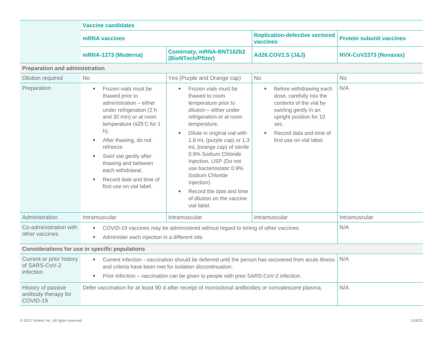|                                                        | <b>Vaccine candidates</b>                                                                                                                                                                                                                                                                                                                   |                                                                                                                                                                                                                                                                                                                                                                                                                           |                                                                                                                                                                                                                            |                                 |  |
|--------------------------------------------------------|---------------------------------------------------------------------------------------------------------------------------------------------------------------------------------------------------------------------------------------------------------------------------------------------------------------------------------------------|---------------------------------------------------------------------------------------------------------------------------------------------------------------------------------------------------------------------------------------------------------------------------------------------------------------------------------------------------------------------------------------------------------------------------|----------------------------------------------------------------------------------------------------------------------------------------------------------------------------------------------------------------------------|---------------------------------|--|
|                                                        | <b>mRNA</b> vaccines                                                                                                                                                                                                                                                                                                                        |                                                                                                                                                                                                                                                                                                                                                                                                                           | <b>Replication-defective vectored</b><br>vaccines                                                                                                                                                                          | <b>Protein subunit vaccines</b> |  |
|                                                        | mRNA-1273 (Moderna)                                                                                                                                                                                                                                                                                                                         | <b>Comirnaty, mRNA-BNT162b2</b><br>(BioNTech/Pfizer)                                                                                                                                                                                                                                                                                                                                                                      | <b>Ad26.COV2.S (J&amp;J)</b>                                                                                                                                                                                               | NVX-CoV2373 (Novavax)           |  |
| <b>Preparation and administration</b>                  |                                                                                                                                                                                                                                                                                                                                             |                                                                                                                                                                                                                                                                                                                                                                                                                           |                                                                                                                                                                                                                            |                                 |  |
| <b>Dilution required</b>                               | <b>No</b>                                                                                                                                                                                                                                                                                                                                   | Yes (Purple and Orange cap)                                                                                                                                                                                                                                                                                                                                                                                               | <b>No</b>                                                                                                                                                                                                                  | <b>No</b>                       |  |
| Preparation                                            | Frozen vials must be<br>$\bullet$<br>thawed prior to<br>administration - either<br>under refrigeration (2 h<br>and 30 min) or at room<br>temperature (≤25°C for 1<br>h).<br>After thawing, do not<br>refreeze.<br>Swirl vial gently after<br>thawing and between<br>each withdrawal.<br>Record date and time of<br>first use on vial label. | Frozen vials must be<br>thawed to room<br>temperature prior to<br>dilution - either under<br>refrigeration or at room<br>temperature.<br>Dilute in original vial with<br>1.8 mL (purple cap) or 1.3<br>mL (orange cap) of sterile<br>0.9% Sodium Chloride<br>Injection, USP (Do not<br>use bacteriostatic 0.9%<br>Sodium Chloride<br>Injection).<br>Record the date and time<br>of dilution on the vaccine<br>vial label. | Before withdrawing each<br>$\bullet$<br>dose, carefully mix the<br>contents of the vial by<br>swirling gently in an<br>upright position for 10<br>sec.<br>Record data and time of<br>$\bullet$<br>first use on vial label. | N/A                             |  |
| Administration                                         | Intramuscular                                                                                                                                                                                                                                                                                                                               | Intramuscular                                                                                                                                                                                                                                                                                                                                                                                                             | Intramuscular                                                                                                                                                                                                              | Intramuscular                   |  |
| Co-administration with<br>other vaccines               | COVID-19 vaccines may be administered without regard to timing of other vaccines.<br>$\bullet$<br>Administer each injection in a different site.<br>$\bullet$                                                                                                                                                                               |                                                                                                                                                                                                                                                                                                                                                                                                                           |                                                                                                                                                                                                                            | N/A                             |  |
| Considerations for use in specific populations         |                                                                                                                                                                                                                                                                                                                                             |                                                                                                                                                                                                                                                                                                                                                                                                                           |                                                                                                                                                                                                                            |                                 |  |
| Current or prior history<br>of SARS-CoV-2<br>infection | Current infection - vaccination should be deferred until the person has recovered from acute illness<br>$\bullet$<br>and criteria have been met for isolation discontinuation.<br>Prior infection – vaccination can be given to people with prior SARS-CoV-2 infection.                                                                     |                                                                                                                                                                                                                                                                                                                                                                                                                           |                                                                                                                                                                                                                            | N/A                             |  |
| History of passive<br>antibody therapy for<br>COVID-19 |                                                                                                                                                                                                                                                                                                                                             | Defer vaccination for at least 90 d after receipt of monoclonal antibodies or convalescent plasma.                                                                                                                                                                                                                                                                                                                        |                                                                                                                                                                                                                            | N/A                             |  |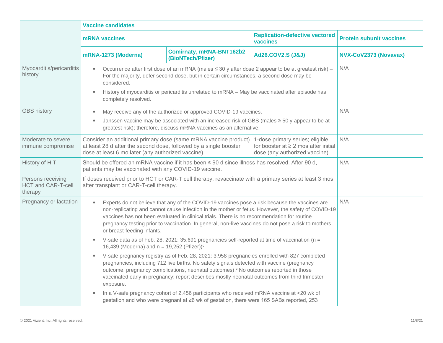|                                                    | <b>Vaccine candidates</b>                                                                                                                                                                                                                                                                                                                                                                                                                           |                                                                                                                                                                                                                                                                                                 |                                                   |                                 |  |
|----------------------------------------------------|-----------------------------------------------------------------------------------------------------------------------------------------------------------------------------------------------------------------------------------------------------------------------------------------------------------------------------------------------------------------------------------------------------------------------------------------------------|-------------------------------------------------------------------------------------------------------------------------------------------------------------------------------------------------------------------------------------------------------------------------------------------------|---------------------------------------------------|---------------------------------|--|
|                                                    | <b>mRNA</b> vaccines                                                                                                                                                                                                                                                                                                                                                                                                                                |                                                                                                                                                                                                                                                                                                 | <b>Replication-defective vectored</b><br>vaccines | <b>Protein subunit vaccines</b> |  |
|                                                    | mRNA-1273 (Moderna)                                                                                                                                                                                                                                                                                                                                                                                                                                 | <b>Comirnaty, mRNA-BNT162b2</b><br>(BioNTech/Pfizer)                                                                                                                                                                                                                                            | Ad26.COV2.S (J&J)                                 | NVX-CoV2373 (Novavax)           |  |
| Myocarditis/pericarditis<br>history                | $\bullet$<br>considered.<br>$\bullet$<br>completely resolved.                                                                                                                                                                                                                                                                                                                                                                                       | Occurrence after first dose of an mRNA (males ≤ 30 y after dose 2 appear to be at greatest risk) -<br>For the majority, defer second dose, but in certain circumstances, a second dose may be<br>History of myocarditis or pericarditis unrelated to mRNA - May be vaccinated after episode has |                                                   | N/A                             |  |
| <b>GBS history</b>                                 | May receive any of the authorized or approved COVID-19 vaccines.<br>$\bullet$<br>Janssen vaccine may be associated with an increased risk of GBS (males $\geq$ 50 y appear to be at<br>$\bullet$<br>greatest risk); therefore, discuss mRNA vaccines as an alternative.                                                                                                                                                                             |                                                                                                                                                                                                                                                                                                 |                                                   | N/A                             |  |
| Moderate to severe<br>immune compromise            | Consider an additional primary dose (same mRNA vaccine product)<br>1-dose primary series; eligible<br>for booster at $\geq 2$ mos after initial<br>at least 28 d after the second dose, followed by a single booster<br>dose at least 6 mo later (any authorized vaccine).<br>dose (any authorized vaccine).                                                                                                                                        |                                                                                                                                                                                                                                                                                                 | N/A                                               |                                 |  |
| History of HIT                                     | Should be offered an mRNA vaccine if it has been ≤ 90 d since illness has resolved. After 90 d,<br>patients may be vaccinated with any COVID-19 vaccine.                                                                                                                                                                                                                                                                                            |                                                                                                                                                                                                                                                                                                 |                                                   | N/A                             |  |
| Persons receiving<br>HCT and CAR-T-cell<br>therapy | If doses received prior to HCT or CAR-T cell therapy, revaccinate with a primary series at least 3 mos<br>after transplant or CAR-T-cell therapy.                                                                                                                                                                                                                                                                                                   |                                                                                                                                                                                                                                                                                                 |                                                   |                                 |  |
| Pregnancy or lactation                             | Experts do not believe that any of the COVID-19 vaccines pose a risk because the vaccines are<br>$\bullet$<br>non-replicating and cannot cause infection in the mother or fetus. However, the safety of COVID-19<br>vaccines has not been evaluated in clinical trials. There is no recommendation for routine<br>pregnancy testing prior to vaccination. In general, non-live vaccines do not pose a risk to mothers<br>or breast-feeding infants. |                                                                                                                                                                                                                                                                                                 |                                                   | N/A                             |  |
|                                                    | $\bullet$                                                                                                                                                                                                                                                                                                                                                                                                                                           | V-safe data as of Feb. 28, 2021: 35,691 pregnancies self-reported at time of vaccination ( $n =$<br>16,439 (Moderna) and $n = 19,252$ (Pfizer)) <sup>c</sup>                                                                                                                                    |                                                   |                                 |  |
|                                                    | V-safe pregnancy registry as of Feb. 28, 2021: 3,958 pregnancies enrolled with 827 completed<br>$\bullet$<br>pregnancies, including 712 live births. No safety signals detected with vaccine (pregnancy<br>outcome, pregnancy complications, neonatal outcomes). <sup>c</sup> No outcomes reported in those<br>vaccinated early in pregnancy; report describes mostly neonatal outcomes from third trimester<br>exposure.                           |                                                                                                                                                                                                                                                                                                 |                                                   |                                 |  |
|                                                    |                                                                                                                                                                                                                                                                                                                                                                                                                                                     | In a V-safe pregnancy cohort of 2,456 participants who received mRNA vaccine at <20 wk of<br>gestation and who were pregnant at ≥6 wk of gestation, there were 165 SABs reported, 253                                                                                                           |                                                   |                                 |  |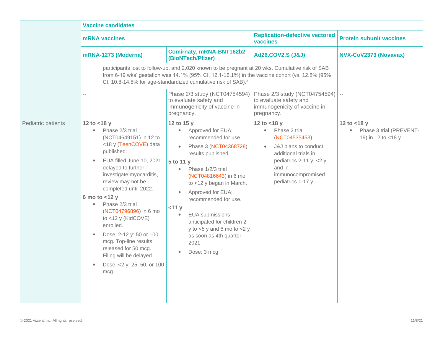|                    | <b>Vaccine candidates</b>                                                                                                                                                                                                                                                                                                                                                                                                                                                                    |                                                                                                                                                                                                                                                                                                                                                                                                                                     |                                                                                                                                                                                                |                                                                               |
|--------------------|----------------------------------------------------------------------------------------------------------------------------------------------------------------------------------------------------------------------------------------------------------------------------------------------------------------------------------------------------------------------------------------------------------------------------------------------------------------------------------------------|-------------------------------------------------------------------------------------------------------------------------------------------------------------------------------------------------------------------------------------------------------------------------------------------------------------------------------------------------------------------------------------------------------------------------------------|------------------------------------------------------------------------------------------------------------------------------------------------------------------------------------------------|-------------------------------------------------------------------------------|
|                    | <b>mRNA</b> vaccines                                                                                                                                                                                                                                                                                                                                                                                                                                                                         |                                                                                                                                                                                                                                                                                                                                                                                                                                     | <b>Replication-defective vectored</b><br>vaccines                                                                                                                                              | <b>Protein subunit vaccines</b>                                               |
|                    | mRNA-1273 (Moderna)                                                                                                                                                                                                                                                                                                                                                                                                                                                                          | <b>Comirnaty, mRNA-BNT162b2</b><br>(BioNTech/Pfizer)                                                                                                                                                                                                                                                                                                                                                                                | <b>Ad26.COV2.S (J&amp;J)</b>                                                                                                                                                                   | NVX-CoV2373 (Novavax)                                                         |
|                    |                                                                                                                                                                                                                                                                                                                                                                                                                                                                                              | participants lost to follow-up, and 2,020 known to be pregnant at 20 wks. Cumulative risk of SAB<br>from 6-19 wks' gestation was 14.1% (95% CI, 12.1-16.1%) in the vaccine cohort (vs. 12.8% (95%<br>CI, 10.8-14.8% for age-standardized cumulative risk of SAB). <sup>d</sup>                                                                                                                                                      |                                                                                                                                                                                                |                                                                               |
|                    |                                                                                                                                                                                                                                                                                                                                                                                                                                                                                              | Phase 2/3 study (NCT04754594)<br>to evaluate safety and<br>immunogenicity of vaccine in<br>pregnancy.                                                                                                                                                                                                                                                                                                                               | Phase 2/3 study (NCT04754594)<br>to evaluate safety and<br>immunogenicity of vaccine in<br>pregnancy.                                                                                          | $\sim$ $-$                                                                    |
| Pediatric patients | 12 to $<$ 18 y<br>Phase 2/3 trial<br>$\bullet$<br>(NCT04649151) in 12 to<br><18 y (TeenCOVE) data<br>published.<br>EUA filled June 10, 2021;<br>delayed to further<br>investigate myocarditis,<br>review may not be<br>completed until 2022.<br>6 mo to $<$ 12 y<br>Phase 2/3 trial<br>(NCT04796896) in 6 mo<br>to <12 y (KidCOVE)<br>enrolled.<br>Dose, 2-12 y: 50 or 100<br>mcg. Top-line results<br>released for 50 mcg.<br>Filing will be delayed.<br>Dose, <2 y: 25, 50, or 100<br>mcg. | 12 to 15 y<br>Approved for EUA;<br>$\bullet$<br>recommended for use.<br>Phase 3 (NCT04368728)<br>$\bullet$<br>results published.<br>5 to 11 y<br>Phase 1/2/3 trial<br>$\bullet$<br>(NCT04816643) in 6 mo<br>to <12 y began in March.<br>Approved for EUA;<br>recommended for use.<br><11 y<br><b>EUA</b> submissions<br>anticipated for children 2<br>y to $5$ y and 6 mo to $5$ y<br>as soon as 4th quarter<br>2021<br>Dose: 3 mcg | 12 to $<$ 18 y<br>Phase 2 trial<br>$\bullet$<br>(NCT04535453)<br>J&J plans to conduct<br>additional trials in<br>pediatrics 2-11 y, <2 y,<br>and in<br>immunocompromised<br>pediatrics 1-17 y. | 12 to $<$ 18 y<br>Phase 3 trial (PREVENT-<br>$\bullet$<br>19) in 12 to <18 y. |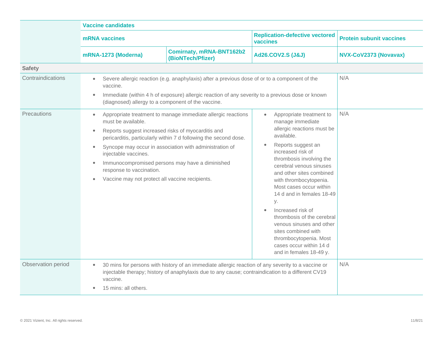|                    | <b>Vaccine candidates</b>                                                                                                                                                                                                                                                                                                                                                                                                                                                             |                                                                                                                                                                                                         |                                                                                                                                                                                                                                                                                                                                                                                                                                                                                                                                             |                                 |
|--------------------|---------------------------------------------------------------------------------------------------------------------------------------------------------------------------------------------------------------------------------------------------------------------------------------------------------------------------------------------------------------------------------------------------------------------------------------------------------------------------------------|---------------------------------------------------------------------------------------------------------------------------------------------------------------------------------------------------------|---------------------------------------------------------------------------------------------------------------------------------------------------------------------------------------------------------------------------------------------------------------------------------------------------------------------------------------------------------------------------------------------------------------------------------------------------------------------------------------------------------------------------------------------|---------------------------------|
|                    | mRNA vaccines                                                                                                                                                                                                                                                                                                                                                                                                                                                                         |                                                                                                                                                                                                         | <b>Replication-defective vectored</b><br>vaccines                                                                                                                                                                                                                                                                                                                                                                                                                                                                                           | <b>Protein subunit vaccines</b> |
|                    | mRNA-1273 (Moderna)                                                                                                                                                                                                                                                                                                                                                                                                                                                                   | <b>Comirnaty, mRNA-BNT162b2</b><br>(BioNTech/Pfizer)                                                                                                                                                    | <b>Ad26.COV2.S (J&amp;J)</b>                                                                                                                                                                                                                                                                                                                                                                                                                                                                                                                | NVX-CoV2373 (Novavax)           |
| <b>Safety</b>      |                                                                                                                                                                                                                                                                                                                                                                                                                                                                                       |                                                                                                                                                                                                         |                                                                                                                                                                                                                                                                                                                                                                                                                                                                                                                                             |                                 |
| Contraindications  | $\bullet$<br>vaccine.<br>(diagnosed) allergy to a component of the vaccine.                                                                                                                                                                                                                                                                                                                                                                                                           | Severe allergic reaction (e.g. anaphylaxis) after a previous dose of or to a component of the<br>Immediate (within 4 h of exposure) allergic reaction of any severity to a previous dose or known       |                                                                                                                                                                                                                                                                                                                                                                                                                                                                                                                                             | N/A                             |
| Precautions        | Appropriate treatment to manage immediate allergic reactions<br>must be available.<br>Reports suggest increased risks of myocarditis and<br>$\bullet$<br>pericarditis, particularly within 7 d following the second dose.<br>Syncope may occur in association with administration of<br>$\bullet$<br>injectable vaccines.<br>Immunocompromised persons may have a diminished<br>$\bullet$<br>response to vaccination.<br>Vaccine may not protect all vaccine recipients.<br>$\bullet$ |                                                                                                                                                                                                         | Appropriate treatment to<br>$\bullet$<br>manage immediate<br>allergic reactions must be<br>available.<br>Reports suggest an<br>$\bullet$<br>increased risk of<br>thrombosis involving the<br>cerebral venous sinuses<br>and other sites combined<br>with thrombocytopenia.<br>Most cases occur within<br>14 d and in females 18-49<br>у.<br>Increased risk of<br>$\bullet$<br>thrombosis of the cerebral<br>venous sinuses and other<br>sites combined with<br>thrombocytopenia. Most<br>cases occur within 14 d<br>and in females 18-49 y. | N/A                             |
| Observation period | $\bullet$<br>vaccine.<br>15 mins: all others.                                                                                                                                                                                                                                                                                                                                                                                                                                         | 30 mins for persons with history of an immediate allergic reaction of any severity to a vaccine or<br>injectable therapy; history of anaphylaxis due to any cause; contraindication to a different CV19 |                                                                                                                                                                                                                                                                                                                                                                                                                                                                                                                                             | N/A                             |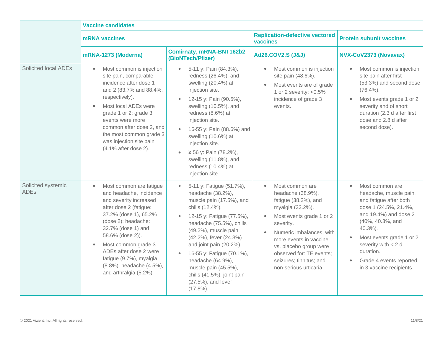|                                   | <b>Vaccine candidates</b>                                                                                                                                                                                                                                                                                                                                    |                                                                                                                                                                                                                                                                                                                                                                                                                |                                                                                                                                                                                                                                                                                                         |                                                                                                                                                                                                                                                                                                |  |
|-----------------------------------|--------------------------------------------------------------------------------------------------------------------------------------------------------------------------------------------------------------------------------------------------------------------------------------------------------------------------------------------------------------|----------------------------------------------------------------------------------------------------------------------------------------------------------------------------------------------------------------------------------------------------------------------------------------------------------------------------------------------------------------------------------------------------------------|---------------------------------------------------------------------------------------------------------------------------------------------------------------------------------------------------------------------------------------------------------------------------------------------------------|------------------------------------------------------------------------------------------------------------------------------------------------------------------------------------------------------------------------------------------------------------------------------------------------|--|
|                                   | <b>mRNA</b> vaccines                                                                                                                                                                                                                                                                                                                                         |                                                                                                                                                                                                                                                                                                                                                                                                                | <b>Replication-defective vectored</b><br>vaccines                                                                                                                                                                                                                                                       | <b>Protein subunit vaccines</b>                                                                                                                                                                                                                                                                |  |
|                                   | mRNA-1273 (Moderna)                                                                                                                                                                                                                                                                                                                                          | <b>Comirnaty, mRNA-BNT162b2</b><br>(BioNTech/Pfizer)                                                                                                                                                                                                                                                                                                                                                           | Ad26.COV2.S (J&J)                                                                                                                                                                                                                                                                                       | NVX-CoV2373 (Novavax)                                                                                                                                                                                                                                                                          |  |
| Solicited local ADEs              | Most common is injection<br>$\bullet$<br>site pain, comparable<br>incidence after dose 1<br>and 2 (83.7% and 88.4%,<br>respectively).<br>Most local ADEs were<br>grade 1 or 2; grade 3<br>events were more<br>common after dose 2, and<br>the most common grade 3<br>was injection site pain<br>(4.1% after dose 2).                                         | 5-11 y: Pain (84.3%),<br>$\bullet$<br>redness (26.4%), and<br>swelling (20.4%) at<br>injection site.<br>12-15 y: Pain (90.5%),<br>$\bullet$<br>swelling (10.5%), and<br>redness (8.6%) at<br>injection site.<br>16-55 y: Pain (88.6%) and<br>swelling (10.6%) at<br>injection site.<br>≥ 56 y: Pain (78.2%),<br>$\bullet$<br>swelling (11.8%), and<br>redness (10.4%) at<br>injection site.                    | Most common is injection<br>$\bullet$<br>site pain (48.6%).<br>Most events are of grade<br>$\bullet$<br>1 or 2 severity; $< 0.5\%$<br>incidence of grade 3<br>events.                                                                                                                                   | Most common is injection<br>site pain after first<br>(53.3%) and second dose<br>$(76.4\%).$<br>Most events grade 1 or 2<br>severity and of short<br>duration (2.3 d after first<br>dose and 2.8 d after<br>second dose).                                                                       |  |
| Solicited systemic<br><b>ADEs</b> | Most common are fatigue<br>$\bullet$<br>and headache, incidence<br>and severity increased<br>after dose 2 (fatigue:<br>37.2% (dose 1), 65.2%<br>(dose 2); headache:<br>32.7% (dose 1) and<br>58.6% (dose 2)).<br>Most common grade 3<br>$\bullet$<br>ADEs after dose 2 were<br>fatigue (9.7%), myalgia<br>(8.8%), headache (4.5%),<br>and arthralgia (5.2%). | 5-11 y: Fatigue (51.7%),<br>$\bullet$<br>headache (38.2%),<br>muscle pain (17.5%), and<br>chills (12.4%).<br>12-15 y: Fatigue (77.5%),<br>headache (75.5%), chills<br>(49.2%), muscle pain<br>(42.2%), fever (24.3%)<br>and joint pain (20.2%).<br>16-55 y: Fatigue (70.1%),<br>$\bullet$<br>headache (64.9%),<br>muscle pain (45.5%),<br>chills (41.5%), joint pain<br>$(27.5\%)$ , and fever<br>$(17.8\%)$ . | Most common are<br>$\bullet$<br>headache (38.9%),<br>fatigue (38.2%), and<br>myalgia (33.2%).<br>Most events grade 1 or 2<br>severity.<br>Numeric imbalances, with<br>more events in vaccine<br>vs. placebo group were<br>observed for: TE events;<br>seizures; tinnitus; and<br>non-serious urticaria. | Most common are<br>$\bullet$<br>headache, muscle pain,<br>and fatigue after both<br>dose 1 (24.5%, 21.4%,<br>and 19.4%) and dose 2<br>(40%, 40.3%, and<br>$40.3\%$ ).<br>Most events grade 1 or 2<br>severity with $<$ 2 d<br>duration.<br>Grade 4 events reported<br>in 3 vaccine recipients. |  |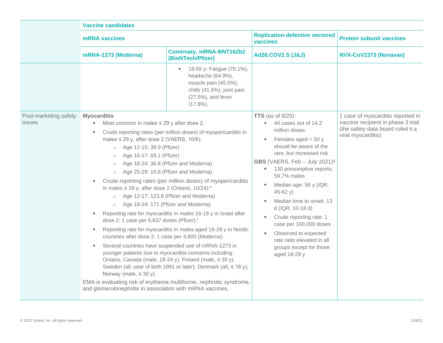|                                 | <b>Vaccine candidates</b>                                                                                                                                                                                                                                                                                                                                                                                                                                                                                                                                                                                                                                    |                                                                                                                                                                                                                                                                                                                                                                                                                                                                                                                                                                                                                                                                                |                                                                                                                                                                                                                                                                                                                                                                                                                                                                                                                                                         |                                                                                                                                    |
|---------------------------------|--------------------------------------------------------------------------------------------------------------------------------------------------------------------------------------------------------------------------------------------------------------------------------------------------------------------------------------------------------------------------------------------------------------------------------------------------------------------------------------------------------------------------------------------------------------------------------------------------------------------------------------------------------------|--------------------------------------------------------------------------------------------------------------------------------------------------------------------------------------------------------------------------------------------------------------------------------------------------------------------------------------------------------------------------------------------------------------------------------------------------------------------------------------------------------------------------------------------------------------------------------------------------------------------------------------------------------------------------------|---------------------------------------------------------------------------------------------------------------------------------------------------------------------------------------------------------------------------------------------------------------------------------------------------------------------------------------------------------------------------------------------------------------------------------------------------------------------------------------------------------------------------------------------------------|------------------------------------------------------------------------------------------------------------------------------------|
|                                 | mRNA vaccines                                                                                                                                                                                                                                                                                                                                                                                                                                                                                                                                                                                                                                                |                                                                                                                                                                                                                                                                                                                                                                                                                                                                                                                                                                                                                                                                                | <b>Replication-defective vectored</b><br>vaccines                                                                                                                                                                                                                                                                                                                                                                                                                                                                                                       | <b>Protein subunit vaccines</b>                                                                                                    |
|                                 | mRNA-1273 (Moderna)                                                                                                                                                                                                                                                                                                                                                                                                                                                                                                                                                                                                                                          | <b>Comirnaty, mRNA-BNT162b2</b><br>(BioNTech/Pfizer)                                                                                                                                                                                                                                                                                                                                                                                                                                                                                                                                                                                                                           | <b>Ad26.COV2.S (J&amp;J)</b>                                                                                                                                                                                                                                                                                                                                                                                                                                                                                                                            | NVX-CoV2373 (Novavax)                                                                                                              |
|                                 |                                                                                                                                                                                                                                                                                                                                                                                                                                                                                                                                                                                                                                                              | 16-55 y: Fatigue (70.1%),<br>headache (64.9%),<br>muscle pain (45.5%),<br>chills (41.5%), joint pain<br>$(27.5\%)$ , and fever<br>$(17.8\%)$ .                                                                                                                                                                                                                                                                                                                                                                                                                                                                                                                                 |                                                                                                                                                                                                                                                                                                                                                                                                                                                                                                                                                         |                                                                                                                                    |
| Post-marketing safety<br>issues | <b>Myocarditis</b><br>Most common in males $\leq$ 29 y after dose 2.<br>$\bullet$<br>$\bullet$<br>males $\leq$ 29 y, after dose 2 (VAERS, 10/6):<br>Age 12-15: 39.9 (Pfizer)<br>$\circ$<br>Age 16-17: 69.1 (Pfizer)<br>$\circ$<br>$\circ$<br>$\circ$<br>in males $\leq$ 29 y, after dose 2 (Ontario, 10/24): <sup>e</sup><br>o Age 12-17: 123.8 (Pfizer and Moderna)<br>Age 18-24: 171 (Pfizer and Moderna)<br>$\circ$<br>dose 2: 1 case per 6,637 doses (Pfizer). <sup>f</sup><br>$\bullet$<br>countries after dose 2: 1 case per 4,800 (Moderna).<br>$\bullet$<br>Norway (male, $\leq 30$ y).<br>and glomerulonephritis in association with mRNA vaccines. | Crude reporting rates (per million doses) of myopericarditis in<br>Age 18-24: 36.8 (Pfizer and Moderna)<br>Age 25-29: 10.8 (Pfizer and Moderna)<br>Crude reporting rates (per million doses) of myopericarditis<br>Reporting rate for myocarditis in males 16-19 y in Israel after<br>Reporting rate for myocarditis in males aged 18-29 y in Nordic<br>Several countries have suspended use of mRNA-1273 in<br>younger patients due to myocarditis concerns including:<br>Ontario, Canada (male, 18-24 y), Finland (male, ≤ 30 y),<br>Sweden (all, year of birth 1991 or later), Denmark (all, ≤ 18 y),<br>EMA is evaluating risk of erythema multiforme, nephrotic syndrome, | TTS (as of $8/25$ ):<br>• 44 cases out of 14.2<br>million doses<br>Females aged $<$ 50 y<br>$\bullet$<br>should be aware of the<br>rare, but increased risk<br>GBS (VAERS, Feb $-$ July 2021) <sup>9</sup><br>130 presumptive reports;<br>$\bullet$<br>59.7% males<br>Median age: 56 y (IQR,<br>$\bullet$<br>$45-62 y)$<br>Median time to onset: 13<br>$\bullet$<br>d (IQR, 10-18 d)<br>Crude reporting rate: 1<br>$\bullet$<br>case per 100,000 doses<br>Observed to expected<br>rate ratio elevated in all<br>groups except for those<br>aged 18-29 y | 1 case of myocarditis reported in<br>vaccine recipient in phase 3 trial<br>(the safety data board ruled it a<br>viral myocarditis) |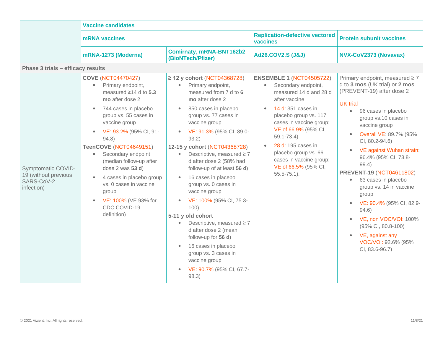|                                                                        | <b>Vaccine candidates</b>                                                                                                                                                                                                                                                                                                                                                                                                                                                                       |                                                                                                                                                                                                                                                                                                                                                                                                                                                                                                                                                                                                                                                                                                         |                                                                                                                                                                                                                                                                                                                                                               |                                                                                                                                                                                                                                                                                                                                                                                                                                                                                                                                                                                                                                   |
|------------------------------------------------------------------------|-------------------------------------------------------------------------------------------------------------------------------------------------------------------------------------------------------------------------------------------------------------------------------------------------------------------------------------------------------------------------------------------------------------------------------------------------------------------------------------------------|---------------------------------------------------------------------------------------------------------------------------------------------------------------------------------------------------------------------------------------------------------------------------------------------------------------------------------------------------------------------------------------------------------------------------------------------------------------------------------------------------------------------------------------------------------------------------------------------------------------------------------------------------------------------------------------------------------|---------------------------------------------------------------------------------------------------------------------------------------------------------------------------------------------------------------------------------------------------------------------------------------------------------------------------------------------------------------|-----------------------------------------------------------------------------------------------------------------------------------------------------------------------------------------------------------------------------------------------------------------------------------------------------------------------------------------------------------------------------------------------------------------------------------------------------------------------------------------------------------------------------------------------------------------------------------------------------------------------------------|
|                                                                        | <b>mRNA</b> vaccines                                                                                                                                                                                                                                                                                                                                                                                                                                                                            |                                                                                                                                                                                                                                                                                                                                                                                                                                                                                                                                                                                                                                                                                                         | <b>Replication-defective vectored</b><br>vaccines                                                                                                                                                                                                                                                                                                             | <b>Protein subunit vaccines</b>                                                                                                                                                                                                                                                                                                                                                                                                                                                                                                                                                                                                   |
|                                                                        | mRNA-1273 (Moderna)                                                                                                                                                                                                                                                                                                                                                                                                                                                                             | <b>Comirnaty, mRNA-BNT162b2</b><br>(BioNTech/Pfizer)                                                                                                                                                                                                                                                                                                                                                                                                                                                                                                                                                                                                                                                    | <b>Ad26.COV2.S (J&amp;J)</b>                                                                                                                                                                                                                                                                                                                                  | NVX-CoV2373 (Novavax)                                                                                                                                                                                                                                                                                                                                                                                                                                                                                                                                                                                                             |
| Phase 3 trials - efficacy results                                      |                                                                                                                                                                                                                                                                                                                                                                                                                                                                                                 |                                                                                                                                                                                                                                                                                                                                                                                                                                                                                                                                                                                                                                                                                                         |                                                                                                                                                                                                                                                                                                                                                               |                                                                                                                                                                                                                                                                                                                                                                                                                                                                                                                                                                                                                                   |
| Symptomatic COVID-<br>19 (without previous<br>SARS-CoV-2<br>infection) | <b>COVE (NCT04470427)</b><br>Primary endpoint,<br>$\bullet$<br>measured $\geq$ 14 d to 5.3<br>mo after dose 2<br>744 cases in placebo<br>group vs. 55 cases in<br>vaccine group<br>VE: 93.2% (95% CI, 91-<br>$\bullet$<br>94.8)<br>TeenCOVE (NCT04649151)<br>Secondary endpoint<br>$\bullet$<br>(median follow-up after<br>dose $2$ was $53$ d)<br>4 cases in placebo group<br>$\bullet$<br>vs. 0 cases in vaccine<br>group<br>VE: 100% (VE 93% for<br>$\bullet$<br>CDC COVID-19<br>definition) | $\geq$ 12 y cohort (NCT04368728)<br>Primary endpoint,<br>$\bullet$<br>measured from 7 d to 6<br>mo after dose 2<br>850 cases in placebo<br>group vs. 77 cases in<br>vaccine group<br>VE: 91.3% (95% CI, 89.0-<br>$\bullet$<br>93.2)<br>12-15 y cohort (NCT04368728)<br>Descriptive, measured $\geq 7$<br>$\bullet$<br>d after dose 2 (58% had<br>follow-up of at least 56 d)<br>16 cases in placebo<br>group vs. 0 cases in<br>vaccine group<br>VE: 100% (95% CI, 75.3-<br>100)<br>5-11 y old cohort<br>Descriptive, measured $\geq 7$<br>$\bullet$<br>d after dose 2 (mean<br>follow-up for 56 d)<br>16 cases in placebo<br>group vs. 3 cases in<br>vaccine group<br>VE: 90.7% (95% CI, 67.7-<br>98.3) | <b>ENSEMBLE 1 (NCT04505722)</b><br>Secondary endpoint,<br>$\bullet$<br>measured 14 d and 28 d<br>after vaccine<br><b>14 d:</b> 351 cases in<br>placebo group vs. 117<br>cases in vaccine group;<br>VE of 66.9% (95% CI,<br>$59.1 - 73.4$<br>28 d: 195 cases in<br>placebo group vs. 66<br>cases in vaccine group;<br>VE of 66.5% (95% CI,<br>$55.5 - 75.1$ ). | Primary endpoint, measured $\geq 7$<br>d to 3 mos (UK trial) or 2 mos<br>(PREVENT-19) after dose 2<br><b>UK</b> trial<br>$\bullet$<br>96 cases in placebo<br>group vs.10 cases in<br>vaccine group<br><b>Overall VE: 89.7% (95%</b><br>$\bullet$<br>CI, 80.2-94.6)<br>VE against Wuhan strain:<br>96.4% (95% CI, 73.8-<br>99.4)<br><b>PREVENT-19 (NCT04611802)</b><br>63 cases in placebo<br>$\bullet$<br>group vs. 14 in vaccine<br>group<br>VE: 90.4% (95% CI, 82.9-<br>$\bullet$<br>94.6)<br>VE, non VOC/VOI: 100%<br>$\bullet$<br>(95% CI, 80.8-100)<br>VE, against any<br>$\bullet$<br>VOC/VOI: 92.6% (95%<br>CI, 83.6-96.7) |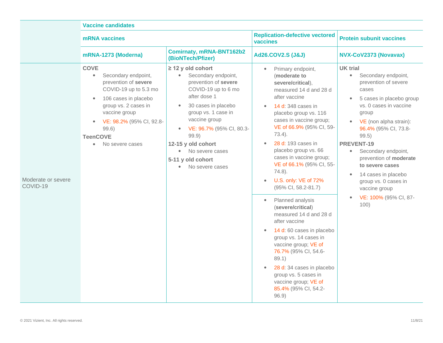|                                | <b>Vaccine candidates</b>                                                                                                                                                                                                                                                           |                                                                                                                                                                                                                                                                                                                                                                    |                                                                                                                                                                                                                                                                                                                                                                                                                                                                                                                                                                                                                                                                                                                                                            |                                                                                                                                                                                                                                                                                                                                                                                                                                    |
|--------------------------------|-------------------------------------------------------------------------------------------------------------------------------------------------------------------------------------------------------------------------------------------------------------------------------------|--------------------------------------------------------------------------------------------------------------------------------------------------------------------------------------------------------------------------------------------------------------------------------------------------------------------------------------------------------------------|------------------------------------------------------------------------------------------------------------------------------------------------------------------------------------------------------------------------------------------------------------------------------------------------------------------------------------------------------------------------------------------------------------------------------------------------------------------------------------------------------------------------------------------------------------------------------------------------------------------------------------------------------------------------------------------------------------------------------------------------------------|------------------------------------------------------------------------------------------------------------------------------------------------------------------------------------------------------------------------------------------------------------------------------------------------------------------------------------------------------------------------------------------------------------------------------------|
|                                | mRNA vaccines                                                                                                                                                                                                                                                                       |                                                                                                                                                                                                                                                                                                                                                                    | <b>Replication-defective vectored</b><br>vaccines                                                                                                                                                                                                                                                                                                                                                                                                                                                                                                                                                                                                                                                                                                          | <b>Protein subunit vaccines</b>                                                                                                                                                                                                                                                                                                                                                                                                    |
|                                | mRNA-1273 (Moderna)                                                                                                                                                                                                                                                                 | Comirnaty, mRNA-BNT162b2<br>(BioNTech/Pfizer)                                                                                                                                                                                                                                                                                                                      | <b>Ad26.COV2.S (J&amp;J)</b>                                                                                                                                                                                                                                                                                                                                                                                                                                                                                                                                                                                                                                                                                                                               | NVX-CoV2373 (Novavax)                                                                                                                                                                                                                                                                                                                                                                                                              |
| Moderate or severe<br>COVID-19 | <b>COVE</b><br>Secondary endpoint,<br>$\bullet$<br>prevention of severe<br>COVID-19 up to 5.3 mo<br>106 cases in placebo<br>$\bullet$<br>group vs. 2 cases in<br>vaccine group<br>VE: 98.2% (95% CI, 92.8-<br>$\bullet$<br>99.6)<br><b>TeenCOVE</b><br>No severe cases<br>$\bullet$ | $\geq$ 12 y old cohort<br>Secondary endpoint,<br>$\bullet$<br>prevention of severe<br>COVID-19 up to 6 mo<br>after dose 1<br>30 cases in placebo<br>$\bullet$<br>group vs. 1 case in<br>vaccine group<br>VE: 96.7% (95% CI, 80.3-<br>$\bullet$<br>99.9)<br>12-15 y old cohort<br>$\bullet$<br>No severe cases<br>5-11 y old cohort<br>No severe cases<br>$\bullet$ | Primary endpoint,<br>$\bullet$<br>(moderate to<br>severe/critical),<br>measured 14 d and 28 d<br>after vaccine<br>14 d: 348 cases in<br>$\bullet$<br>placebo group vs. 116<br>cases in vaccine group;<br>VE of 66.9% (95% CI, 59-<br>$73.4$ ).<br>28 d: 193 cases in<br>placebo group vs. 66<br>cases in vaccine group;<br>VE of 66.1% (95% CI, 55-<br>$74.8$ ).<br>U.S. only: VE of 72%<br>$\bullet$<br>(95% CI, 58.2-81.7)<br>Planned analysis<br>$\bullet$<br>(severe/critical)<br>measured 14 d and 28 d<br>after vaccine<br>14 d: 60 cases in placebo<br>group vs. 14 cases in<br>vaccine group; VE of<br>76.7% (95% CI, 54.6-<br>89.1)<br>28 d: 34 cases in placebo<br>group vs. 5 cases in<br>vaccine group; VE of<br>85.4% (95% CI, 54.2-<br>96.9) | <b>UK</b> trial<br>$\bullet$<br>Secondary endpoint,<br>prevention of severe<br>cases<br>5 cases in placebo group<br>vs. 0 cases in vaccine<br>group<br>VE (non alpha strain):<br>96.4% (95% CI, 73.8-<br>99.5)<br><b>PREVENT-19</b><br>Secondary endpoint,<br>$\bullet$<br>prevention of moderate<br>to severe cases<br>14 cases in placebo<br>$\bullet$<br>group vs. 0 cases in<br>vaccine group<br>VE: 100% (95% CI, 87-<br>100) |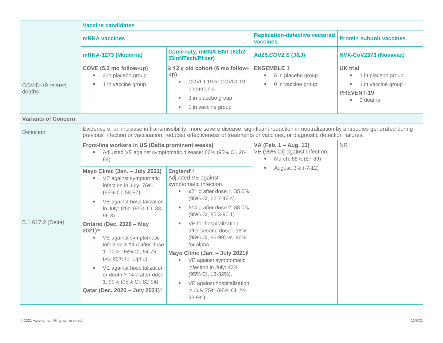|                            | <b>Vaccine candidates</b>                                                                                                                                                                                                                                                                                                                                                                                                                                                                                                                                                                                                                                                                                                                                                                                                                                                                                                                                                                                                                                                                                                                                                                                           |                                                                                                                                                                     |                                                                                                                                               |                                                                                                                      |
|----------------------------|---------------------------------------------------------------------------------------------------------------------------------------------------------------------------------------------------------------------------------------------------------------------------------------------------------------------------------------------------------------------------------------------------------------------------------------------------------------------------------------------------------------------------------------------------------------------------------------------------------------------------------------------------------------------------------------------------------------------------------------------------------------------------------------------------------------------------------------------------------------------------------------------------------------------------------------------------------------------------------------------------------------------------------------------------------------------------------------------------------------------------------------------------------------------------------------------------------------------|---------------------------------------------------------------------------------------------------------------------------------------------------------------------|-----------------------------------------------------------------------------------------------------------------------------------------------|----------------------------------------------------------------------------------------------------------------------|
|                            | mRNA vaccines                                                                                                                                                                                                                                                                                                                                                                                                                                                                                                                                                                                                                                                                                                                                                                                                                                                                                                                                                                                                                                                                                                                                                                                                       |                                                                                                                                                                     | <b>Replication-defective vectored</b><br>vaccines                                                                                             | <b>Protein subunit vaccines</b>                                                                                      |
|                            | mRNA-1273 (Moderna)                                                                                                                                                                                                                                                                                                                                                                                                                                                                                                                                                                                                                                                                                                                                                                                                                                                                                                                                                                                                                                                                                                                                                                                                 | <b>Comirnaty, mRNA-BNT162b2</b><br>(BioNTech/Pfizer)                                                                                                                | <b>Ad26.COV2.S (J&amp;J)</b>                                                                                                                  | NVX-CoV2373 (Novavax)                                                                                                |
| COVID-19 related<br>deaths | COVE (5.3 mo follow-up)<br>3 in placebo group<br>$\bullet$<br>1 in vaccine group                                                                                                                                                                                                                                                                                                                                                                                                                                                                                                                                                                                                                                                                                                                                                                                                                                                                                                                                                                                                                                                                                                                                    | $\geq$ 12 y old cohort (6 mo follow-<br>up)<br>COVID-19 or COVID-19<br>$\bullet$<br>pneumonia<br>3 in placebo group<br>$\bullet$<br>1 in vaccine group<br>$\bullet$ | <b>ENSEMBLE 1</b><br>5 in placebo group<br>$\bullet$<br>0 in vaccine group<br>$\bullet$                                                       | <b>UK</b> trial<br>1 in placebo group<br>$\bullet$<br>1 in vaccine group<br>۰<br>PREVENT-19<br>0 deaths<br>$\bullet$ |
| <b>Variants of Concern</b> |                                                                                                                                                                                                                                                                                                                                                                                                                                                                                                                                                                                                                                                                                                                                                                                                                                                                                                                                                                                                                                                                                                                                                                                                                     |                                                                                                                                                                     |                                                                                                                                               |                                                                                                                      |
| Definition                 | Evidence of an increase in transmissibility, more severe disease, significant reduction in neutralization by antibodies generated during<br>previous infection or vaccination, reduced effectiveness of treatments or vaccines, or diagnostic detection failures.                                                                                                                                                                                                                                                                                                                                                                                                                                                                                                                                                                                                                                                                                                                                                                                                                                                                                                                                                   |                                                                                                                                                                     |                                                                                                                                               |                                                                                                                      |
| B.1.617.2 (Delta)          | Front-line workers in US (Delta prominent weeks) <sup>h</sup><br>Adjusted VE against symptomatic disease: 66% (95% CI, 26-<br>$\bullet$<br>84)<br>Mayo Clinic (Jan. - July 2021) <sup>j</sup><br>England <sup>k,l</sup><br>Adjusted VE against<br>VE against symptomatic<br>$\bullet$<br>symptomatic infection<br>infection in July: 76%<br>≥21 d after dose 1: 35.6%<br>(95% CI, 58-87).<br>(95% CI, 22.7-46.4)<br>VE against hospitalization<br>$\bullet$<br>≥14 d after dose 2: 88.0%<br>$\bullet$<br>in July: 81% (95% CI, 33-<br>(95% CI, 85.3-90.1)<br>$96.3$ ).<br>VE for hospitalization<br>Ontario (Dec. 2020 - May<br>after second dose <sup>q</sup> : 96%<br>$2021$ <sup>m</sup><br>(95% CI, 86-99) vs. 96%<br>VE against symptomatic<br>$\bullet$<br>infection $\geq 14$ d after dose<br>for alpha.<br>1:70%; 95% CI, 64-76<br>Mayo Clinic (Jan. - July 2021) <sup>j</sup><br>(vs. 82% for alpha).<br>VE against symptomatic<br>$\bullet$<br>infection in July: 42%<br>VE against hospitalization<br>(95% CI, 13-32%).<br>or death $\geq$ 14 d after dose<br>1: 90% (95% CI, 82-94).<br>VE against hospitalization<br>Qatar (Dec. 2020 - July 2021) <sup>n</sup><br>in July:75% (95% CI, 24-<br>93.9%). |                                                                                                                                                                     | VA (Feb. $1 - Aug. 13$ ) <sup>i</sup><br>VE (95% CI) against infection:<br>March: 88% (87-89)<br>$\bullet$<br>August: 3% (-7-12)<br>$\bullet$ | <b>NR</b>                                                                                                            |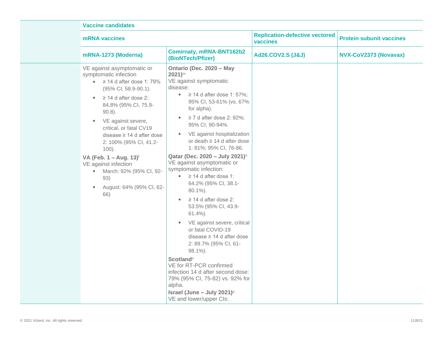| <b>Vaccine candidates</b>                                                                                                                                                                                                                                                                                                                                                                                                                                                                                      |                                                                                                                                                                                                                                                                                                                                                                                                                                                                                                                                                                                                                                                                                                                                                                                                                                                                                                                                                                          |                                                   |                                 |  |  |
|----------------------------------------------------------------------------------------------------------------------------------------------------------------------------------------------------------------------------------------------------------------------------------------------------------------------------------------------------------------------------------------------------------------------------------------------------------------------------------------------------------------|--------------------------------------------------------------------------------------------------------------------------------------------------------------------------------------------------------------------------------------------------------------------------------------------------------------------------------------------------------------------------------------------------------------------------------------------------------------------------------------------------------------------------------------------------------------------------------------------------------------------------------------------------------------------------------------------------------------------------------------------------------------------------------------------------------------------------------------------------------------------------------------------------------------------------------------------------------------------------|---------------------------------------------------|---------------------------------|--|--|
| <b>mRNA</b> vaccines                                                                                                                                                                                                                                                                                                                                                                                                                                                                                           |                                                                                                                                                                                                                                                                                                                                                                                                                                                                                                                                                                                                                                                                                                                                                                                                                                                                                                                                                                          | <b>Replication-defective vectored</b><br>vaccines | <b>Protein subunit vaccines</b> |  |  |
| mRNA-1273 (Moderna)                                                                                                                                                                                                                                                                                                                                                                                                                                                                                            | <b>Comirnaty, mRNA-BNT162b2</b><br>(BioNTech/Pfizer)                                                                                                                                                                                                                                                                                                                                                                                                                                                                                                                                                                                                                                                                                                                                                                                                                                                                                                                     | <b>Ad26.COV2.S (J&amp;J)</b>                      | NVX-CoV2373 (Novavax)           |  |  |
| VE against asymptomatic or<br>symptomatic infection<br>$\geq$ 14 d after dose 1: 79%<br>$\bullet$<br>(95% CI, 58.9-90.1).<br>$\geq$ 14 d after dose 2:<br>$\bullet$<br>84.8% (95% CI, 75.9-<br>$90.8$ ).<br>VE against severe,<br>$\bullet$<br>critical, or fatal CV19<br>disease $\geq$ 14 d after dose<br>2: 100% (95% CI, 41.2-<br>$100$ ).<br>VA (Feb. $1 - Aug. 13$ ) <sup>i</sup><br>VE against infection<br>March: 92% (95% CI, 92-<br>$\bullet$<br>93)<br>August: 64% (95% CI, 62-<br>$\bullet$<br>66) | Ontario (Dec. 2020 - May<br>$2021$ <sup>m</sup><br>VE against symptomatic<br>disease:<br>• $\geq$ 14 d after dose 1: 57%;<br>95% CI, 53-61% (vs. 67%<br>for alpha).<br>$\geq$ 7 d after dose 2: 92%;<br>$\bullet$<br>95% CI, 90-94%.<br>VE against hospitalization<br>$\bullet$<br>or death $\geq$ 14 d after dose<br>1: 81%; 95% CI, 76-86.<br>Qatar (Dec. 2020 - July 2021) <sup>n</sup><br>VE against asymptomatic or<br>symptomatic infection:<br>$\geq$ 14 d after dose 1:<br>$\bullet$<br>64.2% (95% CI, 38.1-<br>$80.1\%$ ).<br>$\geq$ 14 d after dose 2:<br>$\bullet$<br>53.5% (95% CI, 43.9-<br>$61.4\%$ ).<br>VE against severe, critical<br>or fatal COVID-19<br>disease ≥ 14 d after dose<br>2: 89.7% (95% CI, 61-<br>98.1%).<br><b>Scotland</b> <sup>o</sup><br>VE for RT-PCR confirmed<br>infection 14 d after second dose:<br>79% (95% CI, 75-82) vs. 92% for<br>alpha.<br>Israel (June - July 2021) <sup><math>p</math></sup><br>VE and lower/upper Cls: |                                                   |                                 |  |  |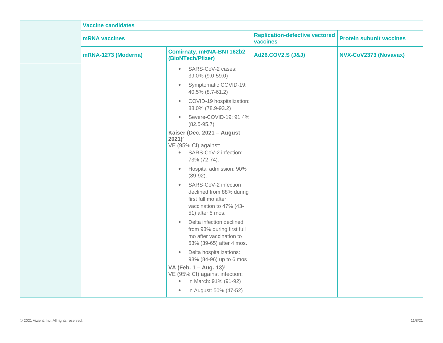| <b>Vaccine candidates</b>                                                                                                                |                                                                                                                                                                                                                                                                                                                                                                                                                                                                                                                                                                                                                                                                                                                                |                                                   |                                 |
|------------------------------------------------------------------------------------------------------------------------------------------|--------------------------------------------------------------------------------------------------------------------------------------------------------------------------------------------------------------------------------------------------------------------------------------------------------------------------------------------------------------------------------------------------------------------------------------------------------------------------------------------------------------------------------------------------------------------------------------------------------------------------------------------------------------------------------------------------------------------------------|---------------------------------------------------|---------------------------------|
| mRNA vaccines                                                                                                                            |                                                                                                                                                                                                                                                                                                                                                                                                                                                                                                                                                                                                                                                                                                                                | <b>Replication-defective vectored</b><br>vaccines | <b>Protein subunit vaccines</b> |
| mRNA-1273 (Moderna)                                                                                                                      | <b>Comirnaty, mRNA-BNT162b2</b><br>(BioNTech/Pfizer)                                                                                                                                                                                                                                                                                                                                                                                                                                                                                                                                                                                                                                                                           | <b>Ad26.COV2.S (J&amp;J)</b>                      | NVX-CoV2373 (Novavax)           |
| $\bullet$<br>$\bullet$<br>$\bullet$<br>$\bullet$<br>$2021$ <sup>q</sup><br>$\bullet$<br>$\bullet$<br>$\bullet$<br>$\bullet$<br>$\bullet$ | SARS-CoV-2 cases:<br>39.0% (9.0-59.0)<br>Symptomatic COVID-19:<br>40.5% (8.7-61.2)<br>COVID-19 hospitalization:<br>88.0% (78.9-93.2)<br>Severe-COVID-19: 91.4%<br>$(82.5 - 95.7)$<br>Kaiser (Dec. 2021 - August<br>VE (95% CI) against:<br>• SARS-CoV-2 infection:<br>73% (72-74).<br>Hospital admission: 90%<br>$(89-92)$ .<br>SARS-CoV-2 infection<br>declined from 88% during<br>first full mo after<br>vaccination to 47% (43-<br>51) after 5 mos.<br>Delta infection declined<br>from 93% during first full<br>mo after vaccination to<br>53% (39-65) after 4 mos.<br>Delta hospitalizations:<br>93% (84-96) up to 6 mos<br>VA (Feb. 1 - Aug. 13) <sup>i</sup><br>VE (95% CI) against infection:<br>in March: 91% (91-92) |                                                   |                                 |
| $\bullet$                                                                                                                                | in August: 50% (47-52)                                                                                                                                                                                                                                                                                                                                                                                                                                                                                                                                                                                                                                                                                                         |                                                   |                                 |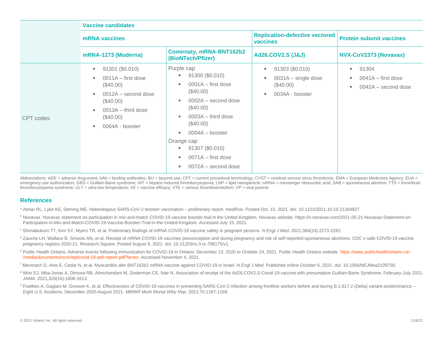|           | <b>Vaccine candidates</b>                                                                                                                                                          |                                                                                                                                                                                                                                                                       |                                                                                                                   |                                                                                             |
|-----------|------------------------------------------------------------------------------------------------------------------------------------------------------------------------------------|-----------------------------------------------------------------------------------------------------------------------------------------------------------------------------------------------------------------------------------------------------------------------|-------------------------------------------------------------------------------------------------------------------|---------------------------------------------------------------------------------------------|
|           | <b>mRNA</b> vaccines                                                                                                                                                               |                                                                                                                                                                                                                                                                       | <b>Replication-defective vectored</b><br>vaccines                                                                 | <b>Protein subunit vaccines</b>                                                             |
|           | mRNA-1273 (Moderna)                                                                                                                                                                | <b>Comirnaty, mRNA-BNT162b2</b><br>(BioNTech/Pfizer)                                                                                                                                                                                                                  | <b>Ad26.COV2.S (J&amp;J)</b>                                                                                      | NVX-CoV2373 (Novavax)                                                                       |
| CPT codes | 91301 (\$0.010)<br>$\bullet$<br>$0011A - first dose$<br>$(\$40.00)$<br>$0012A -$ second dose<br>$(\$40.00)$<br>$0013A -$ third dose<br>$(\$40.00)$<br>0064A - booster<br>$\bullet$ | Purple cap<br>91300 (\$0.010)<br>$0001A - first dose$<br>$(\$40.00)$<br>$0002A -$ second dose<br>$(\$40.00)$<br>$0003A -$ third dose<br>$(\$40.00)$<br>$0004A -$ booster<br>Orange cap<br>91307 (\$0.010)<br>$\bullet$<br>$0071A - first dose$<br>0072A - second dose | 91303 (\$0.010)<br>$\bullet$<br>$0031A - single dose$<br>$\bullet$<br>$(\$40.00)$<br>0034A - booster<br>$\bullet$ | 91304<br>$\bullet$<br>$0041A - first dose$<br>$\bullet$<br>0042A - second dose<br>$\bullet$ |

Abbreviations: ADE = adverse drug event; bAb = binding antibodies; BU = beyond use; CPT = current procedural terminology; CVST = cerebral venous sinus thrombosis; EMA = European Medicines Agency; EUA = emergency use authorization; GBS = Guillain-Barre syndrome; HIT = heparin induced thrombocytopenia; LNP = lipid nanoparticle; mRNA = messenger ribonucleic acid; SAB = spontaneous abortion; TTS = thrombotic thrombocytopenia syndrome; ULT = ultra-low temperature; VE = vaccine efficacy; VTE = venous thromboembolism; VP = viral particle

## **References**

<sup>a</sup> Atmar RL, Lyke KE, Deming ME. Heterologous SARS-CoV-2 booster vaccination – preliminary report. medRxiv. Posted Oct. 15, 2021. doi: 10.1101/2021.10.10.21264827.

- <sup>b</sup> Novavax. Novavax statement on participation in mix-and-match COVID-19 vaccine booster trial in the United Kingdom. Novavax website. https://ir.novavax.com/2021-05-21-Novavax-Statement-on-Participation-in-Mix-and-Match-COVID-19-Vaccine-Booster-Trial-in-the-United-Kingdom. Accessed July 15, 2021.
- <sup>c</sup> Shimabukuro TT, Kim SY, Myers TR, et al. Preliminary findings of mRNA COVID-19 vaccine safety in pregnant persons. *N Engl J Med.* 2021;384(24):2273-2282.
- d Zauche LH, Wallace B, Smoots AN, et al. Receipt of mRNA COVID-19 vaccines preconception and during pregnancy and risk of self-reported spontaneous abortions, CDC v-safe COVID-19 vaccine pregnancy registry 2020-21. Research Square. Posted August 9, 2021. doi: 10.21203/rs.3.rs-798175/v1.
- e Public Health Ontario. Adverse events following immunization for COVID-19 in Ontario: December 13, 2020 to October 24, 2021. Public Health Ontario website. [https://www.publichealthontario.ca/-](https://www.publichealthontario.ca/-/media/documents/ncov/epi/covid-19-aefi-report.pdf?la=en) [/media/documents/ncov/epi/covid-19-aefi-report.pdf?la=en.](https://www.publichealthontario.ca/-/media/documents/ncov/epi/covid-19-aefi-report.pdf?la=en) Accessed November 4, 2021.
- <sup>f</sup> Mevorach D, Anis E, Cedar N, et al. Myocarditis afer BNT162b2 mRNA vaccine against COVID-19 in Israel. *N Engl J Med*. Published online October 6, 2021, doi: 10.1056/NEJMoa2109730.
- <sup>g</sup> Woo EJ, Mba-Jonas A, Dimova RB, Alimchandani M, Zinderman CE, Nair N. Association of receipt of the Ad26.COV2.S Covid-19 vaccine with presumptive Guillain-Barre Syndrome, February-July 2021. *JAMA.* 2021;326(16):1606-1613.
- <sup>h</sup> Fowlkes A, Gaglani M, Groover K, et al. Effectiveness of COVID-19 vaccines in preventing SARS-CoV-2 infection among frontline workers before and during B.1.617.2 (Delta) variant predominance Eight U.S. locations, December 2020-August 2021. *MMWR Morb Mortal Wkly Rep*. 2021;70:1167-1169.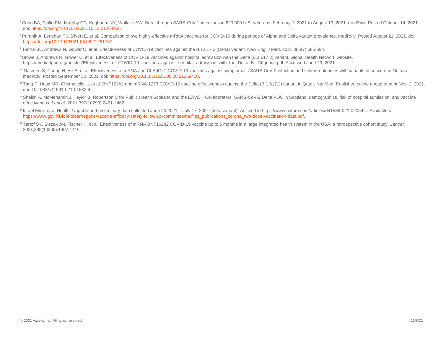- <sup>i</sup> Cohn BA, Cirillo PM, Murphy CC, Krigbaum NY, Wallace AW. Breakthrough SARS-CoV-2 infections in 620,000 U.S. veterans, February 1, 2021 to August 13, 2021. medRxiv. Posted October 14, 2021. doi: [https://doi.org/10.1101/2021.10.13.21264966.](https://doi.org/10.1101/2021.10.13.21264966)
- <sup>j</sup> Puranik A, Lenehan PJ, Silvert E, et al. Comparison of two highly-effective mRNA vaccines for COVID-19 during periods of Alpha and Delta variant prevalence. medRxiv. Posted August 21, 2021. doi: [https://doi.org/10.1101/2021.08.06.21261707.](https://doi.org/10.1101/2021.08.06.21261707)
- <sup>k</sup> Bernal JL, Andrews N, Gower C, et al. Effectiveness of COVID-19 vaccines against the B.1.617.2 (Delta) variant. New Engl J Med. 2021;385(7):585-594.
- <sup>1</sup> Stowe J, Andrews N, Gower C, et al. Effectiveness of COVID-19 vaccines against hospital admission with the Delta (B.1.617.2) variant. Global Health Network website. https://media.tghn.org/articles/Effectiveness\_of\_COVID-19\_vaccines\_against\_hospital\_admission\_with\_the\_Delta\_B.\_G6gnnqJ.pdf. Accessed June 29, 2021.
- <sup>m</sup> Nasreen S, Chung H, He S, et al. Effectiveness of mRNA and ChAdOx1 COVID-19 vaccines against symptomatic SARS-CoV-2 infection and severe outcomes with variants of concern in Ontario. medRxiv. Posted September 30, 2021. doi: [https://doi.org/10.1101/2021.06.28.21259420.](https://doi.org/10.1101/2021.06.28.21259420)
- <sup>n</sup> Tang P, Hasa MR, Chemaitelly H, et al. BNT162b2 and mRNA-1273 COVID-19 vaccine effectiveness against the Delta (B.1.617.2) variant in Qatar. Nat Med. Published online ahead of print Nov. 2, 2021. doi: 10.1038/s41591-021-01583-4.
- <sup>o</sup> Sheikh A, McMenamin J, Taylor B, Robertson C for Public Health Scotland and the EAVE II Collaborators. SARS-CoV-2 Delta VOC in Scotland: demographics, risk of hospital admission, and vaccine effectiveness. *Lancet*. 2021;397(10293):2461-2462.
- P Israel Ministry of Health. Unpublished preliminary data collected June 20,2021 July 17, 2021 (delta variant). As cited in https://www.nature.com/articles/d41586-021-02054-z. Available at [https://www.gov.il/BlobFolder/reports/vaccine-efficacy-safety-follow-up-committee/he/files\\_publications\\_corona\\_two-dose-vaccination-data.pdf.](https://www.gov.il/BlobFolder/reports/vaccine-efficacy-safety-follow-up-committee/he/files_publications_corona_two-dose-vaccination-data.pdf)
- <sup>q</sup> Tartof SY, Slezak JM, Fischer H, et al. Effectiveness of mRNA BNT162b2 COVID-19 vaccine up to 6 months in a large integrated health system in the USA: a retrospective cohort study. *Lancet*. 2021;398(10309):1407-1416.